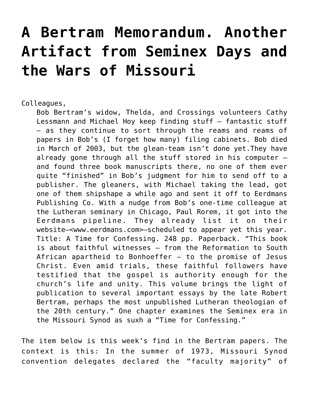## **[A Bertram Memorandum. Another](https://crossings.org/a-bertram-memorandum-another-artifact-from-seminex-days-and-the-wars-of-missouri/) [Artifact from Seminex Days and](https://crossings.org/a-bertram-memorandum-another-artifact-from-seminex-days-and-the-wars-of-missouri/) [the Wars of Missouri](https://crossings.org/a-bertram-memorandum-another-artifact-from-seminex-days-and-the-wars-of-missouri/)**

Colleagues,

Bob Bertram's widow, Thelda, and Crossings volunteers Cathy Lessmann and Michael Hoy keep finding stuff — fantastic stuff — as they continue to sort through the reams and reams of papers in Bob's (I forget how many) filing cabinets. Bob died in March of 2003, but the glean-team isn't done yet.They have already gone through all the stuff stored in his computer  $$ and found three book manuscripts there, no one of them ever quite "finished" in Bob's judgment for him to send off to a publisher. The gleaners, with Michael taking the lead, got one of them shipshape a while ago and sent it off to Eerdmans Publishing Co. With a nudge from Bob's one-time colleague at the Lutheran seminary in Chicago, Paul Rorem, it got into the Eerdmans pipeline. They already list it on their website–<www.eerdmans.com>–scheduled to appear yet this year. Title: A Time for Confessing. 248 pp. Paperback. "This book is about faithful witnesses — from the Reformation to South African apartheid to Bonhoeffer  $-$  to the promise of Jesus Christ. Even amid trials, these faithful followers have testified that the gospel is authority enough for the church's life and unity. This volume brings the light of publication to several important essays by the late Robert Bertram, perhaps the most unpublished Lutheran theologian of the 20th century." One chapter examines the Seminex era in the Missouri Synod as suxh a "Time for Confessing."

The item below is this week's find in the Bertram papers. The context is this: In the summer of 1973, Missouri Synod convention delegates declared the "faculty majority" of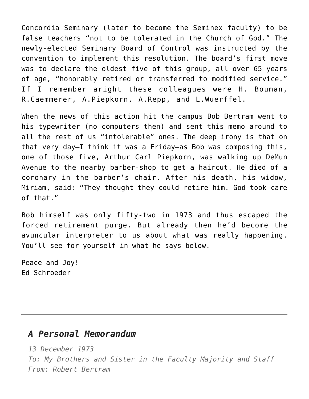Concordia Seminary (later to become the Seminex faculty) to be false teachers "not to be tolerated in the Church of God." The newly-elected Seminary Board of Control was instructed by the convention to implement this resolution. The board's first move was to declare the oldest five of this group, all over 65 years of age, "honorably retired or transferred to modified service." If I remember aright these colleagues were H. Bouman, R.Caemmerer, A.Piepkorn, A.Repp, and L.Wuerffel.

When the news of this action hit the campus Bob Bertram went to his typewriter (no computers then) and sent this memo around to all the rest of us "intolerable" ones. The deep irony is that on that very day–I think it was a Friday–as Bob was composing this, one of those five, Arthur Carl Piepkorn, was walking up DeMun Avenue to the nearby barber-shop to get a haircut. He died of a coronary in the barber's chair. After his death, his widow, Miriam, said: "They thought they could retire him. God took care of that."

Bob himself was only fifty-two in 1973 and thus escaped the forced retirement purge. But already then he'd become the avuncular interpreter to us about what was really happening. You'll see for yourself in what he says below.

Peace and Joy! Ed Schroeder

## *A Personal Memorandum*

*13 December 1973*

*To: My Brothers and Sister in the Faculty Majority and Staff From: Robert Bertram*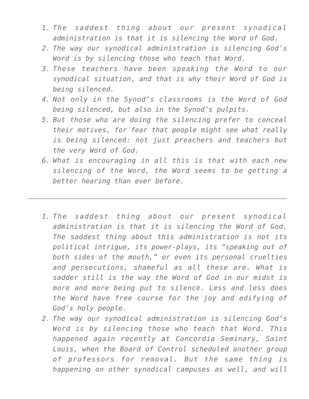- *1. The saddest thing about our present synodical administration is that it is silencing the Word of God.*
- *2. The way our synodical administration is silencing God's Word is by silencing those who teach that Word.*
- *3. These teachers have been speaking the Word to our synodical situation, and that is why their Word of God is being silenced.*
- *4. Not only in the Synod's classrooms is the Word of God being silenced, but also in the Synod's pulpits.*
- *5. But those who are doing the silencing prefer to conceal their motives, for fear that people might see what really is being silenced: not just preachers and teachers but the very Word of God.*
- *6. What is encouraging in all this is that with each new silencing of the Word, the Word seems to be getting a better hearing than ever before.*
- *1. The saddest thing about our present synodical administration is that it is silencing the Word of God. The saddest thing about this administration is not its political intrigue, its power-plays, its "speaking out of both sides of the mouth," or even its personal cruelties and persecutions, shameful as all these are. What is sadder still is the way the Word of God in our midst is more and more being put to silence. Less and less does the Word have free course for the joy and edifying of God's holy people.*
- *2. The way our synodical administration is silencing God's Word is by silencing those who teach that Word. This happened again recently at Concordia Seminary, Saint Louis, when the Board of Control scheduled another group of professors for removal. But the same thing is happening on other synodical campuses as well, and will*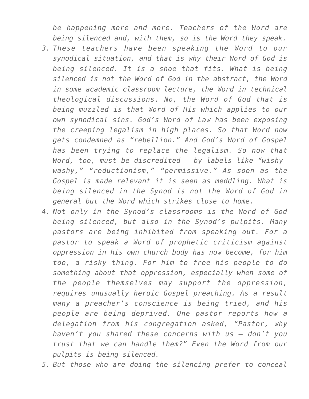*be happening more and more. Teachers of the Word are being silenced and, with them, so is the Word they speak.*

- *3. These teachers have been speaking the Word to our synodical situation, and that is why their Word of God is being silenced. It is a shoe that fits. What is being silenced is not the Word of God in the abstract, the Word in some academic classroom lecture, the Word in technical theological discussions. No, the Word of God that is being muzzled is that Word of His which applies to our own synodical sins. God's Word of Law has been exposing the creeping legalism in high places. So that Word now gets condemned as "rebellion." And God's Word of Gospel has been trying to replace the legalism. So now that Word, too, must be discredited — by labels like "wishywashy," "reductionism," "permissive." As soon as the Gospel is made relevant it is seen as meddling. What is being silenced in the Synod is not the Word of God in general but the Word which strikes close to home.*
- *4. Not only in the Synod's classrooms is the Word of God being silenced, but also in the Synod's pulpits. Many pastors are being inhibited from speaking out. For a pastor to speak a Word of prophetic criticism against oppression in his own church body has now become, for him too, a risky thing. For him to free his people to do something about that oppression, especially when some of the people themselves may support the oppression, requires unusually heroic Gospel preaching. As a result many a preacher's conscience is being tried, and his people are being deprived. One pastor reports how a delegation from his congregation asked, "Pastor, why haven't you shared these concerns with us — don't you trust that we can handle them?" Even the Word from our pulpits is being silenced.*
- *5. But those who are doing the silencing prefer to conceal*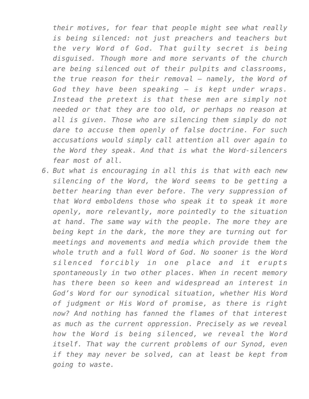*their motives, for fear that people might see what really is being silenced: not just preachers and teachers but the very Word of God. That guilty secret is being disguised. Though more and more servants of the church are being silenced out of their pulpits and classrooms, the true reason for their removal — namely, the Word of God they have been speaking — is kept under wraps. Instead the pretext is that these men are simply not needed or that they are too old, or perhaps no reason at all is given. Those who are silencing them simply do not dare to accuse them openly of false doctrine. For such accusations would simply call attention all over again to the Word they speak. And that is what the Word-silencers fear most of all.*

*6. But what is encouraging in all this is that with each new silencing of the Word, the Word seems to be getting a better hearing than ever before. The very suppression of that Word emboldens those who speak it to speak it more openly, more relevantly, more pointedly to the situation at hand. The same way with the people. The more they are being kept in the dark, the more they are turning out for meetings and movements and media which provide them the whole truth and a full Word of God. No sooner is the Word silenced forcibly in one place and it erupts spontaneously in two other places. When in recent memory has there been so keen and widespread an interest in God's Word for our synodical situation, whether His Word of judgment or His Word of promise, as there is right now? And nothing has fanned the flames of that interest as much as the current oppression. Precisely as we reveal how the Word is being silenced, we reveal the Word itself. That way the current problems of our Synod, even if they may never be solved, can at least be kept from going to waste.*